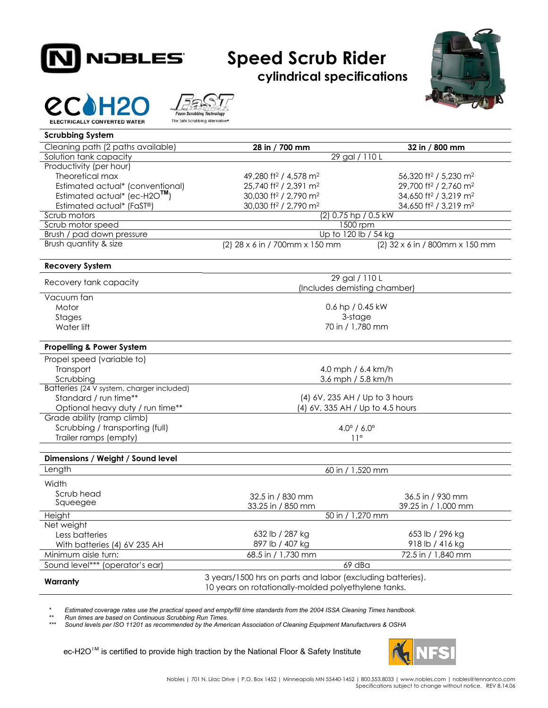

## **Speed Scrub Rider**

**cylindrical specifications** 







| <b>Scrubbing System</b>                     |                                                            |                                               |  |
|---------------------------------------------|------------------------------------------------------------|-----------------------------------------------|--|
| Cleaning path (2 paths available)           | 28 in / 700 mm                                             | 32 in / 800 mm                                |  |
| Solution tank capacity                      | 29 gal / 110 L                                             |                                               |  |
| Productivity (per hour)                     |                                                            |                                               |  |
| Theoretical max                             | 49,280 ft <sup>2</sup> / 4,578 m <sup>2</sup>              | 56,320 ft <sup>2</sup> / 5,230 m <sup>2</sup> |  |
| Estimated actual* (conventional)            | 25,740 ft <sup>2</sup> / 2,391 m <sup>2</sup>              | 29,700 ft <sup>2</sup> / 2,760 m <sup>2</sup> |  |
| Estimated actual* (ec-H2O <sup>TM</sup> )   | 30,030 ft <sup>2</sup> / 2,790 m <sup>2</sup>              | 34,650 ft <sup>2</sup> / 3,219 m <sup>2</sup> |  |
| Estimated actual* (FaST®)                   | 30,030 ft <sup>2</sup> / 2,790 m <sup>2</sup>              | 34,650 ft <sup>2</sup> / 3,219 m <sup>2</sup> |  |
| Scrub motors                                | (2) 0.75 hp / 0.5 kW                                       |                                               |  |
| Scrub motor speed                           | 1500 rpm                                                   |                                               |  |
| Brush / pad down pressure                   | Up to 120 lb / 54 kg                                       |                                               |  |
| Brush quantity & size                       | (2) 28 x 6 in / 700mm x 150 mm                             | (2) 32 x 6 in / 800mm x 150 mm                |  |
| <b>Recovery System</b>                      |                                                            |                                               |  |
| Recovery tank capacity                      | 29 gal / 110 L<br>(Includes demisting chamber)             |                                               |  |
|                                             |                                                            |                                               |  |
| Vacuum fan                                  |                                                            |                                               |  |
| Motor                                       | 0.6 hp / 0.45 kW                                           |                                               |  |
| Stages                                      | 3-stage                                                    |                                               |  |
| Water lift                                  | 70 in / 1,780 mm                                           |                                               |  |
| <b>Propelling &amp; Power System</b>        |                                                            |                                               |  |
| Propel speed (variable to)                  |                                                            |                                               |  |
| Transport                                   | 4.0 mph / $6.4$ km/h                                       |                                               |  |
| Scrubbing                                   | 3.6 mph / 5.8 km/h                                         |                                               |  |
| Batteries (24 V system, charger included)   |                                                            |                                               |  |
| Standard / run time**                       | (4) 6V, 235 AH / Up to 3 hours                             |                                               |  |
| Optional heavy duty / run time**            | (4) 6V, 335 AH / Up to 4.5 hours                           |                                               |  |
| Grade ability (ramp climb)                  |                                                            |                                               |  |
| Scrubbing / transporting (full)             | $4.0^{\circ}$ / 6.0 $^{\circ}$                             |                                               |  |
| Trailer ramps (empty)                       | $11^{\circ}$                                               |                                               |  |
|                                             |                                                            |                                               |  |
| Dimensions / Weight / Sound level<br>Length |                                                            |                                               |  |
|                                             | 60 in / 1,520 mm                                           |                                               |  |
| Width                                       |                                                            |                                               |  |
| Scrub head                                  | 32.5 in / 830 mm                                           | 36.5 in / 930 mm                              |  |
| Squeegee                                    | 33.25 in / 850 mm                                          | 39.25 in / 1,000 mm                           |  |
| Height                                      | 50 in / 1,270 mm                                           |                                               |  |
| Net weight                                  |                                                            |                                               |  |
| Less batteries                              | 632 lb / 287 kg                                            | 653 lb / 296 kg                               |  |
| With batteries (4) 6V 235 AH                | 897 lb / 407 kg                                            | 918 lb / 416 kg                               |  |
| Minimum aisle turn:                         | 68.5 in / 1,730 mm                                         | 72.5 in / 1,840 mm                            |  |
| Sound level*** (operator's ear)             |                                                            | 69 dBa                                        |  |
| Warranty                                    | 3 years/1500 hrs on parts and labor (excluding batteries). |                                               |  |
|                                             | 10 years on rotationally-molded polyethylene tanks.        |                                               |  |

*\* Estimated coverage rates use the practical speed and empty/fill time standards from the 2004 ISSA Cleaning Times handbook.* 

*\*\* Run times are based on Continuous Scrubbing Run Times.* 

*\*\*\* Sound levels per ISO 11201 as recommended by the American Association of Cleaning Equipment Manufacturers & OSHA* 

ec-H2O™ is certified to provide high traction by the National Floor & Safety Institute